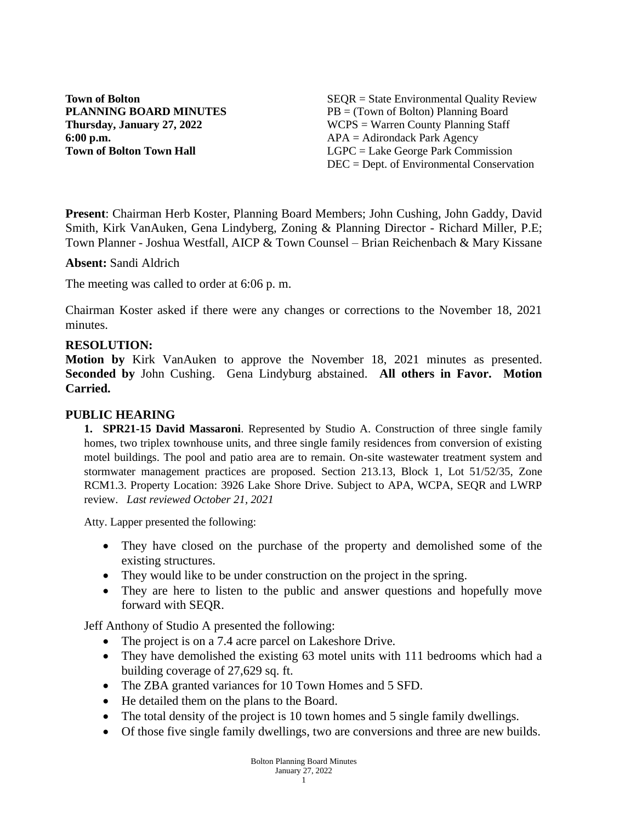**6:00 p.m.** APA = Adirondack Park Agency

**Town of Bolton** SEQR = State Environmental Quality Review **PLANNING BOARD MINUTES** PB = (Town of Bolton) Planning Board **Thursday, January 27, 2022** WCPS = Warren County Planning Staff **Town of Bolton Town Hall LGPC** = Lake George Park Commission DEC = Dept. of Environmental Conservation

**Present**: Chairman Herb Koster, Planning Board Members; John Cushing, John Gaddy, David Smith, Kirk VanAuken, Gena Lindyberg, Zoning & Planning Director - Richard Miller, P.E; Town Planner - Joshua Westfall, AICP & Town Counsel – Brian Reichenbach & Mary Kissane

**Absent:** Sandi Aldrich

The meeting was called to order at 6:06 p. m.

Chairman Koster asked if there were any changes or corrections to the November 18, 2021 minutes.

#### **RESOLUTION:**

**Motion by** Kirk VanAuken to approve the November 18, 2021 minutes as presented. **Seconded by** John Cushing. Gena Lindyburg abstained. **All others in Favor. Motion Carried.**

#### **PUBLIC HEARING**

**1. SPR21-15 David Massaroni**. Represented by Studio A. Construction of three single family homes, two triplex townhouse units, and three single family residences from conversion of existing motel buildings. The pool and patio area are to remain. On-site wastewater treatment system and stormwater management practices are proposed. Section 213.13, Block 1, Lot 51/52/35, Zone RCM1.3. Property Location: 3926 Lake Shore Drive. Subject to APA, WCPA, SEQR and LWRP review. *Last reviewed October 21, 2021*

Atty. Lapper presented the following:

- They have closed on the purchase of the property and demolished some of the existing structures.
- They would like to be under construction on the project in the spring.
- They are here to listen to the public and answer questions and hopefully move forward with SEQR.

Jeff Anthony of Studio A presented the following:

- The project is on a 7.4 acre parcel on Lakeshore Drive.
- They have demolished the existing 63 motel units with 111 bedrooms which had a building coverage of 27,629 sq. ft.
- The ZBA granted variances for 10 Town Homes and 5 SFD.
- He detailed them on the plans to the Board.
- The total density of the project is 10 town homes and 5 single family dwellings.
- Of those five single family dwellings, two are conversions and three are new builds.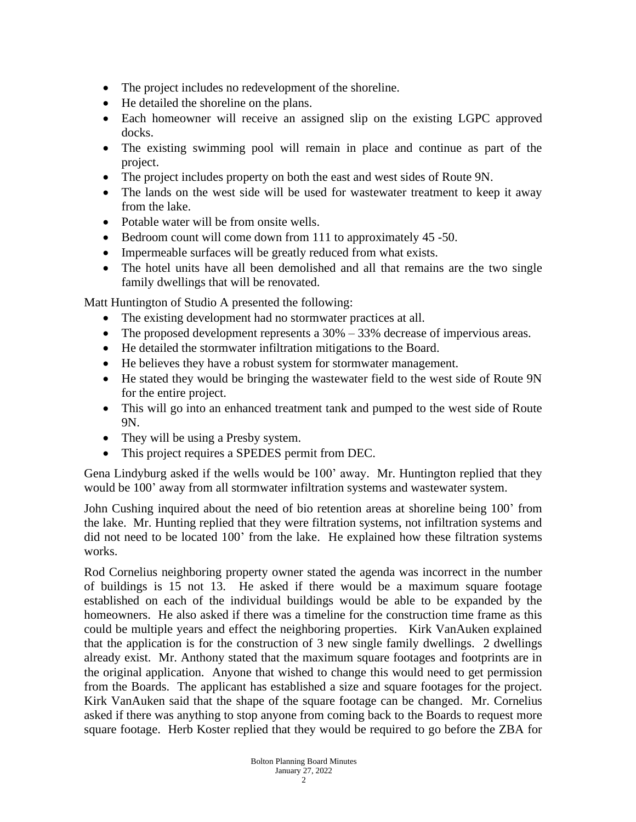- The project includes no redevelopment of the shoreline.
- He detailed the shoreline on the plans.
- Each homeowner will receive an assigned slip on the existing LGPC approved docks.
- The existing swimming pool will remain in place and continue as part of the project.
- The project includes property on both the east and west sides of Route 9N.
- The lands on the west side will be used for wastewater treatment to keep it away from the lake.
- Potable water will be from onsite wells.
- Bedroom count will come down from 111 to approximately 45 -50.
- Impermeable surfaces will be greatly reduced from what exists.
- The hotel units have all been demolished and all that remains are the two single family dwellings that will be renovated.

Matt Huntington of Studio A presented the following:

- The existing development had no stormwater practices at all.
- The proposed development represents a  $30\% 33\%$  decrease of impervious areas.
- He detailed the stormwater infiltration mitigations to the Board.
- He believes they have a robust system for stormwater management.
- He stated they would be bringing the wastewater field to the west side of Route 9N for the entire project.
- This will go into an enhanced treatment tank and pumped to the west side of Route 9N.
- They will be using a Presby system.
- This project requires a SPEDES permit from DEC.

Gena Lindyburg asked if the wells would be 100' away. Mr. Huntington replied that they would be 100' away from all stormwater infiltration systems and wastewater system.

John Cushing inquired about the need of bio retention areas at shoreline being 100' from the lake. Mr. Hunting replied that they were filtration systems, not infiltration systems and did not need to be located 100' from the lake. He explained how these filtration systems works.

Rod Cornelius neighboring property owner stated the agenda was incorrect in the number of buildings is 15 not 13. He asked if there would be a maximum square footage established on each of the individual buildings would be able to be expanded by the homeowners. He also asked if there was a timeline for the construction time frame as this could be multiple years and effect the neighboring properties. Kirk VanAuken explained that the application is for the construction of 3 new single family dwellings. 2 dwellings already exist. Mr. Anthony stated that the maximum square footages and footprints are in the original application. Anyone that wished to change this would need to get permission from the Boards. The applicant has established a size and square footages for the project. Kirk VanAuken said that the shape of the square footage can be changed. Mr. Cornelius asked if there was anything to stop anyone from coming back to the Boards to request more square footage. Herb Koster replied that they would be required to go before the ZBA for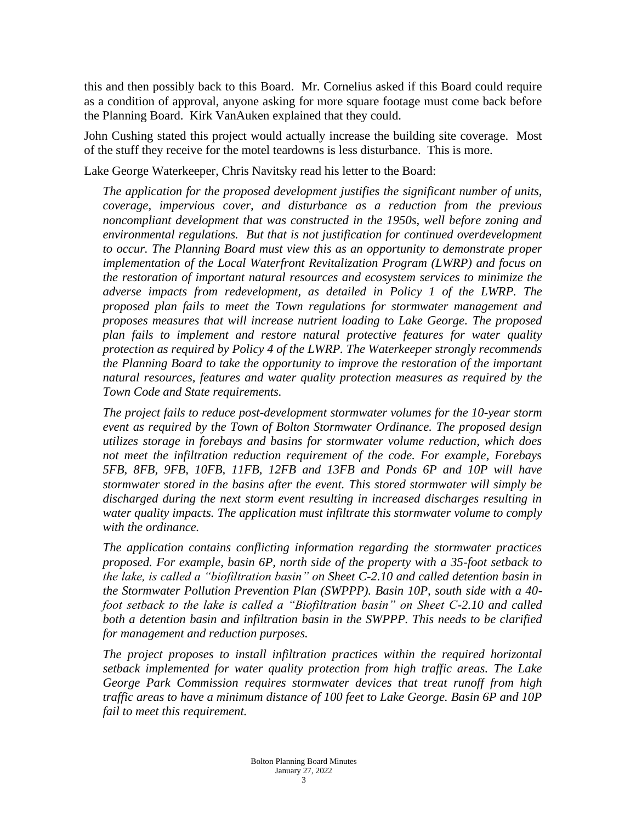this and then possibly back to this Board. Mr. Cornelius asked if this Board could require as a condition of approval, anyone asking for more square footage must come back before the Planning Board. Kirk VanAuken explained that they could.

John Cushing stated this project would actually increase the building site coverage. Most of the stuff they receive for the motel teardowns is less disturbance. This is more.

Lake George Waterkeeper, Chris Navitsky read his letter to the Board:

*The application for the proposed development justifies the significant number of units, coverage, impervious cover, and disturbance as a reduction from the previous noncompliant development that was constructed in the 1950s, well before zoning and environmental regulations. But that is not justification for continued overdevelopment to occur. The Planning Board must view this as an opportunity to demonstrate proper implementation of the Local Waterfront Revitalization Program (LWRP) and focus on the restoration of important natural resources and ecosystem services to minimize the adverse impacts from redevelopment, as detailed in Policy 1 of the LWRP. The proposed plan fails to meet the Town regulations for stormwater management and proposes measures that will increase nutrient loading to Lake George. The proposed plan fails to implement and restore natural protective features for water quality protection as required by Policy 4 of the LWRP. The Waterkeeper strongly recommends the Planning Board to take the opportunity to improve the restoration of the important natural resources, features and water quality protection measures as required by the Town Code and State requirements.* 

*The project fails to reduce post-development stormwater volumes for the 10-year storm event as required by the Town of Bolton Stormwater Ordinance. The proposed design utilizes storage in forebays and basins for stormwater volume reduction, which does not meet the infiltration reduction requirement of the code. For example, Forebays 5FB, 8FB, 9FB, 10FB, 11FB, 12FB and 13FB and Ponds 6P and 10P will have stormwater stored in the basins after the event. This stored stormwater will simply be discharged during the next storm event resulting in increased discharges resulting in water quality impacts. The application must infiltrate this stormwater volume to comply with the ordinance.* 

*The application contains conflicting information regarding the stormwater practices proposed. For example, basin 6P, north side of the property with a 35-foot setback to the lake, is called a "biofiltration basin" on Sheet C-2.10 and called detention basin in the Stormwater Pollution Prevention Plan (SWPPP). Basin 10P, south side with a 40 foot setback to the lake is called a "Biofiltration basin" on Sheet C-2.10 and called both a detention basin and infiltration basin in the SWPPP. This needs to be clarified for management and reduction purposes.* 

*The project proposes to install infiltration practices within the required horizontal setback implemented for water quality protection from high traffic areas. The Lake George Park Commission requires stormwater devices that treat runoff from high traffic areas to have a minimum distance of 100 feet to Lake George. Basin 6P and 10P fail to meet this requirement.*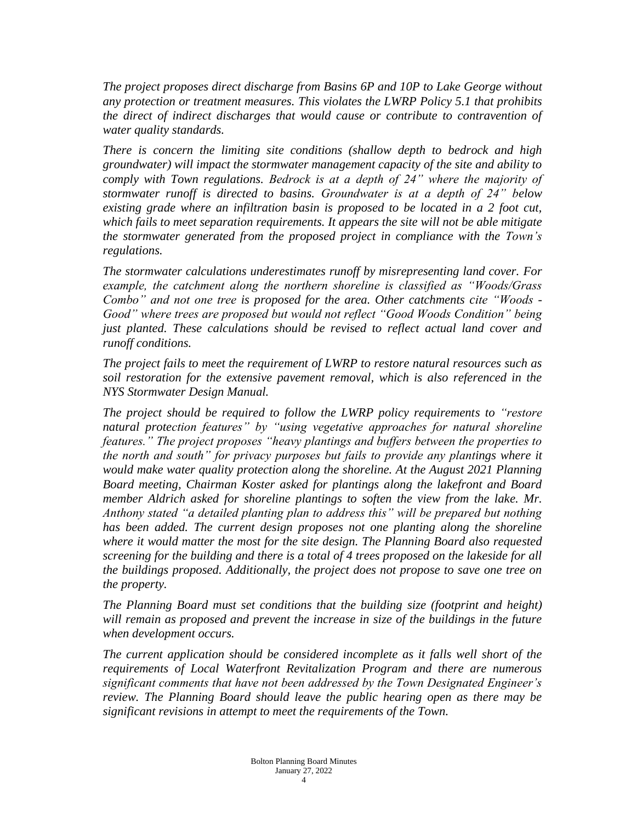*The project proposes direct discharge from Basins 6P and 10P to Lake George without any protection or treatment measures. This violates the LWRP Policy 5.1 that prohibits the direct of indirect discharges that would cause or contribute to contravention of water quality standards.* 

*There is concern the limiting site conditions (shallow depth to bedrock and high groundwater) will impact the stormwater management capacity of the site and ability to comply with Town regulations. Bedrock is at a depth of 24" where the majority of stormwater runoff is directed to basins. Groundwater is at a depth of 24" below existing grade where an infiltration basin is proposed to be located in a 2 foot cut, which fails to meet separation requirements. It appears the site will not be able mitigate the stormwater generated from the proposed project in compliance with the Town's regulations.*

*The stormwater calculations underestimates runoff by misrepresenting land cover. For example, the catchment along the northern shoreline is classified as "Woods/Grass Combo" and not one tree is proposed for the area. Other catchments cite "Woods - Good" where trees are proposed but would not reflect "Good Woods Condition" being just planted. These calculations should be revised to reflect actual land cover and runoff conditions.*

*The project fails to meet the requirement of LWRP to restore natural resources such as soil restoration for the extensive pavement removal, which is also referenced in the NYS Stormwater Design Manual.*

*The project should be required to follow the LWRP policy requirements to "restore natural protection features" by "using vegetative approaches for natural shoreline features." The project proposes "heavy plantings and buffers between the properties to the north and south" for privacy purposes but fails to provide any plantings where it would make water quality protection along the shoreline. At the August 2021 Planning Board meeting, Chairman Koster asked for plantings along the lakefront and Board member Aldrich asked for shoreline plantings to soften the view from the lake. Mr. Anthony stated "a detailed planting plan to address this" will be prepared but nothing has been added. The current design proposes not one planting along the shoreline where it would matter the most for the site design. The Planning Board also requested screening for the building and there is a total of 4 trees proposed on the lakeside for all the buildings proposed. Additionally, the project does not propose to save one tree on the property.*

*The Planning Board must set conditions that the building size (footprint and height) will remain as proposed and prevent the increase in size of the buildings in the future when development occurs.*

*The current application should be considered incomplete as it falls well short of the requirements of Local Waterfront Revitalization Program and there are numerous significant comments that have not been addressed by the Town Designated Engineer's review. The Planning Board should leave the public hearing open as there may be significant revisions in attempt to meet the requirements of the Town.*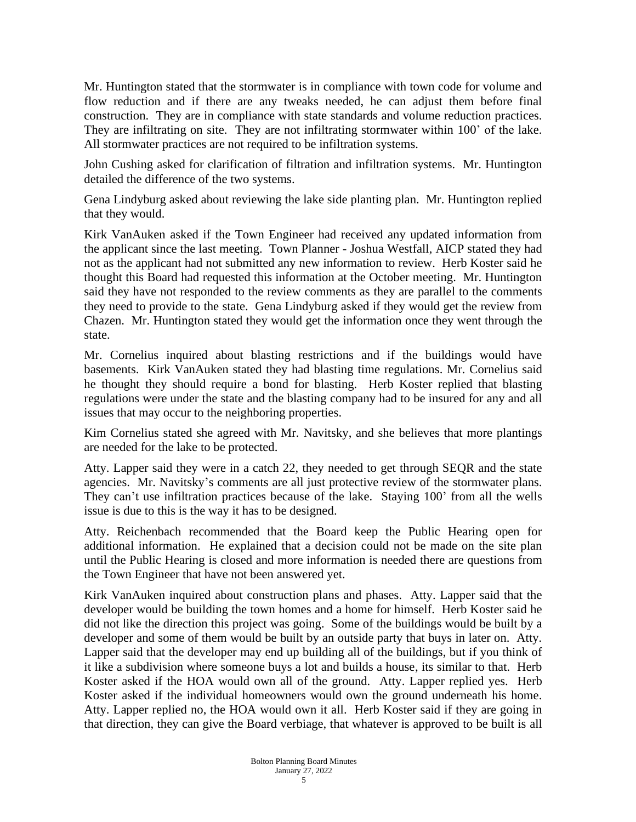Mr. Huntington stated that the stormwater is in compliance with town code for volume and flow reduction and if there are any tweaks needed, he can adjust them before final construction. They are in compliance with state standards and volume reduction practices. They are infiltrating on site. They are not infiltrating stormwater within 100' of the lake. All stormwater practices are not required to be infiltration systems.

John Cushing asked for clarification of filtration and infiltration systems. Mr. Huntington detailed the difference of the two systems.

Gena Lindyburg asked about reviewing the lake side planting plan. Mr. Huntington replied that they would.

Kirk VanAuken asked if the Town Engineer had received any updated information from the applicant since the last meeting. Town Planner - Joshua Westfall, AICP stated they had not as the applicant had not submitted any new information to review. Herb Koster said he thought this Board had requested this information at the October meeting. Mr. Huntington said they have not responded to the review comments as they are parallel to the comments they need to provide to the state. Gena Lindyburg asked if they would get the review from Chazen. Mr. Huntington stated they would get the information once they went through the state.

Mr. Cornelius inquired about blasting restrictions and if the buildings would have basements. Kirk VanAuken stated they had blasting time regulations. Mr. Cornelius said he thought they should require a bond for blasting. Herb Koster replied that blasting regulations were under the state and the blasting company had to be insured for any and all issues that may occur to the neighboring properties.

Kim Cornelius stated she agreed with Mr. Navitsky, and she believes that more plantings are needed for the lake to be protected.

Atty. Lapper said they were in a catch 22, they needed to get through SEQR and the state agencies. Mr. Navitsky's comments are all just protective review of the stormwater plans. They can't use infiltration practices because of the lake. Staying 100' from all the wells issue is due to this is the way it has to be designed.

Atty. Reichenbach recommended that the Board keep the Public Hearing open for additional information. He explained that a decision could not be made on the site plan until the Public Hearing is closed and more information is needed there are questions from the Town Engineer that have not been answered yet.

Kirk VanAuken inquired about construction plans and phases. Atty. Lapper said that the developer would be building the town homes and a home for himself. Herb Koster said he did not like the direction this project was going. Some of the buildings would be built by a developer and some of them would be built by an outside party that buys in later on. Atty. Lapper said that the developer may end up building all of the buildings, but if you think of it like a subdivision where someone buys a lot and builds a house, its similar to that. Herb Koster asked if the HOA would own all of the ground. Atty. Lapper replied yes. Herb Koster asked if the individual homeowners would own the ground underneath his home. Atty. Lapper replied no, the HOA would own it all. Herb Koster said if they are going in that direction, they can give the Board verbiage, that whatever is approved to be built is all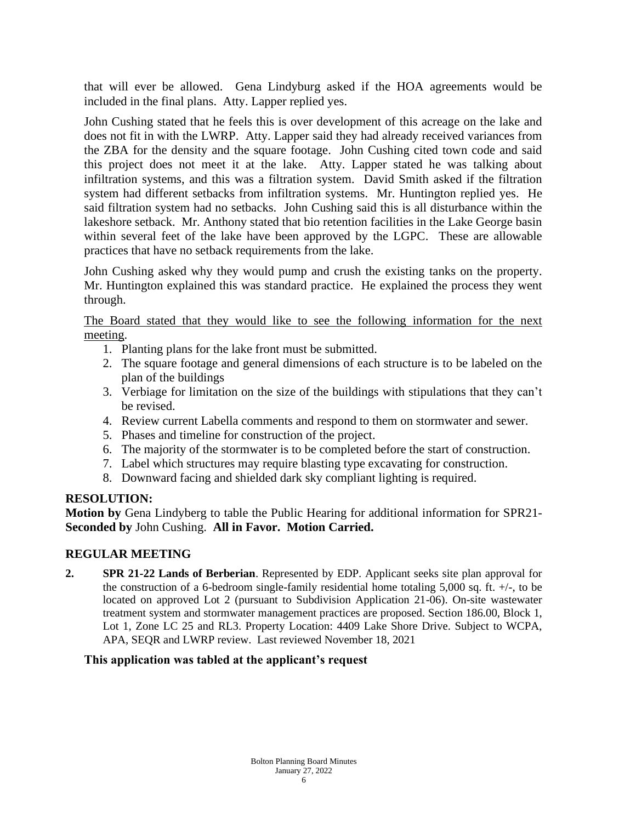that will ever be allowed. Gena Lindyburg asked if the HOA agreements would be included in the final plans. Atty. Lapper replied yes.

John Cushing stated that he feels this is over development of this acreage on the lake and does not fit in with the LWRP. Atty. Lapper said they had already received variances from the ZBA for the density and the square footage. John Cushing cited town code and said this project does not meet it at the lake. Atty. Lapper stated he was talking about infiltration systems, and this was a filtration system. David Smith asked if the filtration system had different setbacks from infiltration systems. Mr. Huntington replied yes. He said filtration system had no setbacks. John Cushing said this is all disturbance within the lakeshore setback. Mr. Anthony stated that bio retention facilities in the Lake George basin within several feet of the lake have been approved by the LGPC. These are allowable practices that have no setback requirements from the lake.

John Cushing asked why they would pump and crush the existing tanks on the property. Mr. Huntington explained this was standard practice. He explained the process they went through.

The Board stated that they would like to see the following information for the next meeting.

- 1. Planting plans for the lake front must be submitted.
- 2. The square footage and general dimensions of each structure is to be labeled on the plan of the buildings
- 3. Verbiage for limitation on the size of the buildings with stipulations that they can't be revised.
- 4. Review current Labella comments and respond to them on stormwater and sewer.
- 5. Phases and timeline for construction of the project.
- 6. The majority of the stormwater is to be completed before the start of construction.
- 7. Label which structures may require blasting type excavating for construction.
- 8. Downward facing and shielded dark sky compliant lighting is required.

#### **RESOLUTION:**

**Motion by** Gena Lindyberg to table the Public Hearing for additional information for SPR21- **Seconded by** John Cushing. **All in Favor. Motion Carried.** 

## **REGULAR MEETING**

**2. SPR 21-22 Lands of Berberian**. Represented by EDP. Applicant seeks site plan approval for the construction of a 6-bedroom single-family residential home totaling  $5,000$  sq. ft.  $+/-$ , to be located on approved Lot 2 (pursuant to Subdivision Application 21-06). On-site wastewater treatment system and stormwater management practices are proposed. Section 186.00, Block 1, Lot 1, Zone LC 25 and RL3. Property Location: 4409 Lake Shore Drive. Subject to WCPA, APA, SEQR and LWRP review. Last reviewed November 18, 2021

## **This application was tabled at the applicant's request**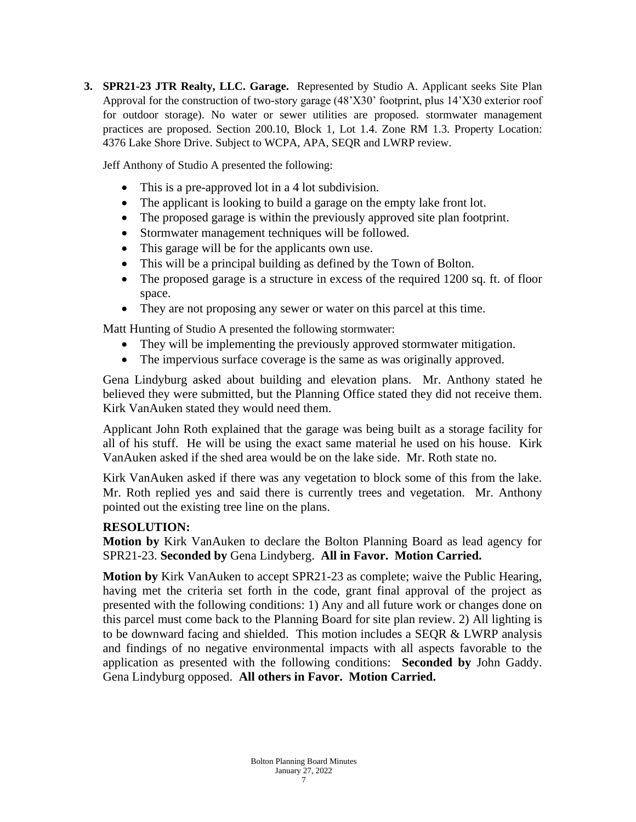**3. SPR21-23 JTR Realty, LLC. Garage.** Represented by Studio A. Applicant seeks Site Plan Approval for the construction of two-story garage (48'X30' footprint, plus 14'X30 exterior roof for outdoor storage). No water or sewer utilities are proposed. stormwater management practices are proposed. Section 200.10, Block 1, Lot 1.4. Zone RM 1.3. Property Location: 4376 Lake Shore Drive. Subject to WCPA, APA, SEQR and LWRP review.

Jeff Anthony of Studio A presented the following:

- This is a pre-approved lot in a 4 lot subdivision.
- The applicant is looking to build a garage on the empty lake front lot.
- The proposed garage is within the previously approved site plan footprint.
- Stormwater management techniques will be followed.
- This garage will be for the applicants own use.
- This will be a principal building as defined by the Town of Bolton.
- The proposed garage is a structure in excess of the required 1200 sq. ft. of floor space.
- They are not proposing any sewer or water on this parcel at this time.

Matt Hunting of Studio A presented the following stormwater:

- They will be implementing the previously approved stormwater mitigation.
- The impervious surface coverage is the same as was originally approved.

Gena Lindyburg asked about building and elevation plans. Mr. Anthony stated he believed they were submitted, but the Planning Office stated they did not receive them. Kirk VanAuken stated they would need them.

Applicant John Roth explained that the garage was being built as a storage facility for all of his stuff. He will be using the exact same material he used on his house. Kirk VanAuken asked if the shed area would be on the lake side. Mr. Roth state no.

Kirk VanAuken asked if there was any vegetation to block some of this from the lake. Mr. Roth replied yes and said there is currently trees and vegetation. Mr. Anthony pointed out the existing tree line on the plans.

## **RESOLUTION:**

**Motion by** Kirk VanAuken to declare the Bolton Planning Board as lead agency for SPR21-23. **Seconded by** Gena Lindyberg. **All in Favor. Motion Carried.** 

**Motion by** Kirk VanAuken to accept SPR21-23 as complete; waive the Public Hearing, having met the criteria set forth in the code, grant final approval of the project as presented with the following conditions: 1) Any and all future work or changes done on this parcel must come back to the Planning Board for site plan review. 2) All lighting is to be downward facing and shielded. This motion includes a SEQR & LWRP analysis and findings of no negative environmental impacts with all aspects favorable to the application as presented with the following conditions: **Seconded by** John Gaddy. Gena Lindyburg opposed. **All others in Favor. Motion Carried.**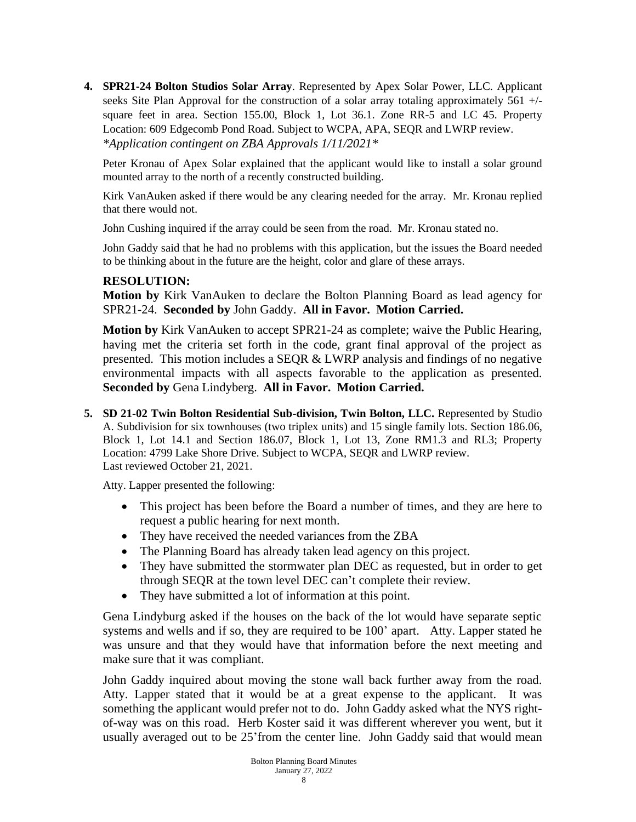**4. SPR21-24 Bolton Studios Solar Array**. Represented by Apex Solar Power, LLC. Applicant seeks Site Plan Approval for the construction of a solar array totaling approximately 561 +/ square feet in area. Section 155.00, Block 1, Lot 36.1. Zone RR-5 and LC 45. Property Location: 609 Edgecomb Pond Road. Subject to WCPA, APA, SEQR and LWRP review. *\*Application contingent on ZBA Approvals 1/11/2021\**

Peter Kronau of Apex Solar explained that the applicant would like to install a solar ground mounted array to the north of a recently constructed building.

Kirk VanAuken asked if there would be any clearing needed for the array. Mr. Kronau replied that there would not.

John Cushing inquired if the array could be seen from the road. Mr. Kronau stated no.

John Gaddy said that he had no problems with this application, but the issues the Board needed to be thinking about in the future are the height, color and glare of these arrays.

#### **RESOLUTION:**

**Motion by** Kirk VanAuken to declare the Bolton Planning Board as lead agency for SPR21-24. **Seconded by** John Gaddy. **All in Favor. Motion Carried.** 

**Motion by** Kirk VanAuken to accept SPR21-24 as complete; waive the Public Hearing, having met the criteria set forth in the code, grant final approval of the project as presented. This motion includes a SEQR & LWRP analysis and findings of no negative environmental impacts with all aspects favorable to the application as presented. **Seconded by** Gena Lindyberg. **All in Favor. Motion Carried.** 

**5. SD 21-02 Twin Bolton Residential Sub-division, Twin Bolton, LLC.** Represented by Studio A. Subdivision for six townhouses (two triplex units) and 15 single family lots. Section 186.06, Block 1, Lot 14.1 and Section 186.07, Block 1, Lot 13, Zone RM1.3 and RL3; Property Location: 4799 Lake Shore Drive. Subject to WCPA, SEQR and LWRP review. Last reviewed October 21, 2021.

Atty. Lapper presented the following:

- This project has been before the Board a number of times, and they are here to request a public hearing for next month.
- They have received the needed variances from the ZBA
- The Planning Board has already taken lead agency on this project.
- They have submitted the stormwater plan DEC as requested, but in order to get through SEQR at the town level DEC can't complete their review.
- They have submitted a lot of information at this point.

Gena Lindyburg asked if the houses on the back of the lot would have separate septic systems and wells and if so, they are required to be 100' apart. Atty. Lapper stated he was unsure and that they would have that information before the next meeting and make sure that it was compliant.

John Gaddy inquired about moving the stone wall back further away from the road. Atty. Lapper stated that it would be at a great expense to the applicant. It was something the applicant would prefer not to do. John Gaddy asked what the NYS rightof-way was on this road. Herb Koster said it was different wherever you went, but it usually averaged out to be 25'from the center line. John Gaddy said that would mean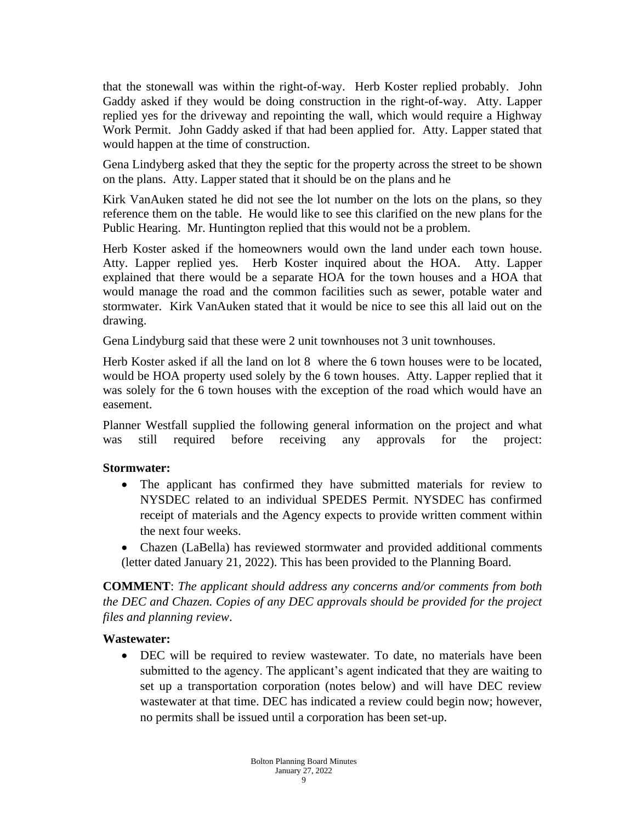that the stonewall was within the right-of-way. Herb Koster replied probably. John Gaddy asked if they would be doing construction in the right-of-way. Atty. Lapper replied yes for the driveway and repointing the wall, which would require a Highway Work Permit. John Gaddy asked if that had been applied for. Atty. Lapper stated that would happen at the time of construction.

Gena Lindyberg asked that they the septic for the property across the street to be shown on the plans. Atty. Lapper stated that it should be on the plans and he

Kirk VanAuken stated he did not see the lot number on the lots on the plans, so they reference them on the table. He would like to see this clarified on the new plans for the Public Hearing. Mr. Huntington replied that this would not be a problem.

Herb Koster asked if the homeowners would own the land under each town house. Atty. Lapper replied yes. Herb Koster inquired about the HOA. Atty. Lapper explained that there would be a separate HOA for the town houses and a HOA that would manage the road and the common facilities such as sewer, potable water and stormwater. Kirk VanAuken stated that it would be nice to see this all laid out on the drawing.

Gena Lindyburg said that these were 2 unit townhouses not 3 unit townhouses.

Herb Koster asked if all the land on lot 8 where the 6 town houses were to be located, would be HOA property used solely by the 6 town houses. Atty. Lapper replied that it was solely for the 6 town houses with the exception of the road which would have an easement.

Planner Westfall supplied the following general information on the project and what was still required before receiving any approvals for the project:

## **Stormwater:**

- The applicant has confirmed they have submitted materials for review to NYSDEC related to an individual SPEDES Permit. NYSDEC has confirmed receipt of materials and the Agency expects to provide written comment within the next four weeks.
- Chazen (LaBella) has reviewed stormwater and provided additional comments (letter dated January 21, 2022). This has been provided to the Planning Board.

**COMMENT**: *The applicant should address any concerns and/or comments from both the DEC and Chazen. Copies of any DEC approvals should be provided for the project files and planning review*.

#### **Wastewater:**

• DEC will be required to review wastewater. To date, no materials have been submitted to the agency. The applicant's agent indicated that they are waiting to set up a transportation corporation (notes below) and will have DEC review wastewater at that time. DEC has indicated a review could begin now; however, no permits shall be issued until a corporation has been set-up.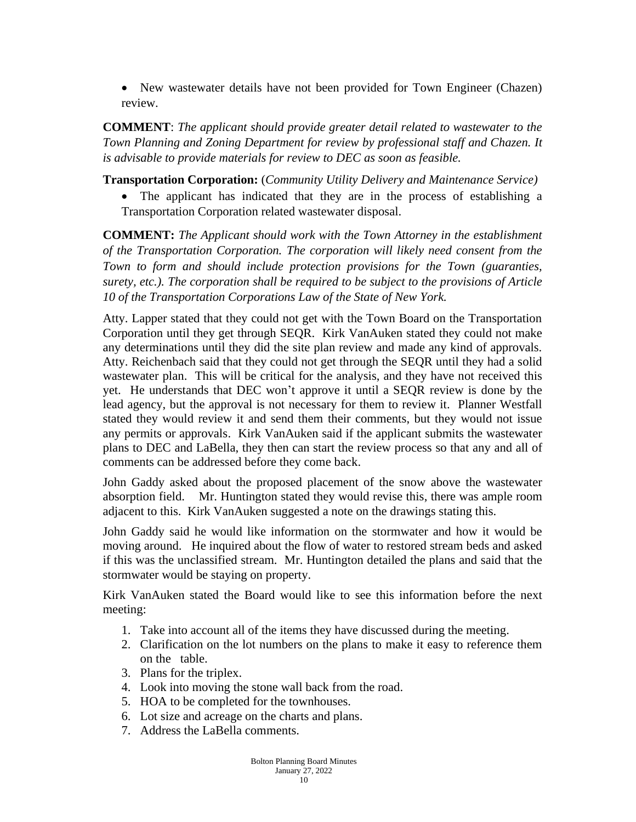• New wastewater details have not been provided for Town Engineer (Chazen) review.

**COMMENT**: *The applicant should provide greater detail related to wastewater to the Town Planning and Zoning Department for review by professional staff and Chazen. It is advisable to provide materials for review to DEC as soon as feasible.*

**Transportation Corporation:** (*Community Utility Delivery and Maintenance Service)*

The applicant has indicated that they are in the process of establishing a Transportation Corporation related wastewater disposal.

**COMMENT:** *The Applicant should work with the Town Attorney in the establishment of the Transportation Corporation. The corporation will likely need consent from the Town to form and should include protection provisions for the Town (guaranties, surety, etc.). The corporation shall be required to be subject to the provisions of Article 10 of the Transportation Corporations Law of the State of New York.*

Atty. Lapper stated that they could not get with the Town Board on the Transportation Corporation until they get through SEQR. Kirk VanAuken stated they could not make any determinations until they did the site plan review and made any kind of approvals. Atty. Reichenbach said that they could not get through the SEQR until they had a solid wastewater plan. This will be critical for the analysis, and they have not received this yet. He understands that DEC won't approve it until a SEQR review is done by the lead agency, but the approval is not necessary for them to review it. Planner Westfall stated they would review it and send them their comments, but they would not issue any permits or approvals. Kirk VanAuken said if the applicant submits the wastewater plans to DEC and LaBella, they then can start the review process so that any and all of comments can be addressed before they come back.

John Gaddy asked about the proposed placement of the snow above the wastewater absorption field. Mr. Huntington stated they would revise this, there was ample room adjacent to this. Kirk VanAuken suggested a note on the drawings stating this.

John Gaddy said he would like information on the stormwater and how it would be moving around. He inquired about the flow of water to restored stream beds and asked if this was the unclassified stream. Mr. Huntington detailed the plans and said that the stormwater would be staying on property.

Kirk VanAuken stated the Board would like to see this information before the next meeting:

- 1. Take into account all of the items they have discussed during the meeting.
- 2. Clarification on the lot numbers on the plans to make it easy to reference them on the table.
- 3. Plans for the triplex.
- 4. Look into moving the stone wall back from the road.
- 5. HOA to be completed for the townhouses.
- 6. Lot size and acreage on the charts and plans.
- 7. Address the LaBella comments.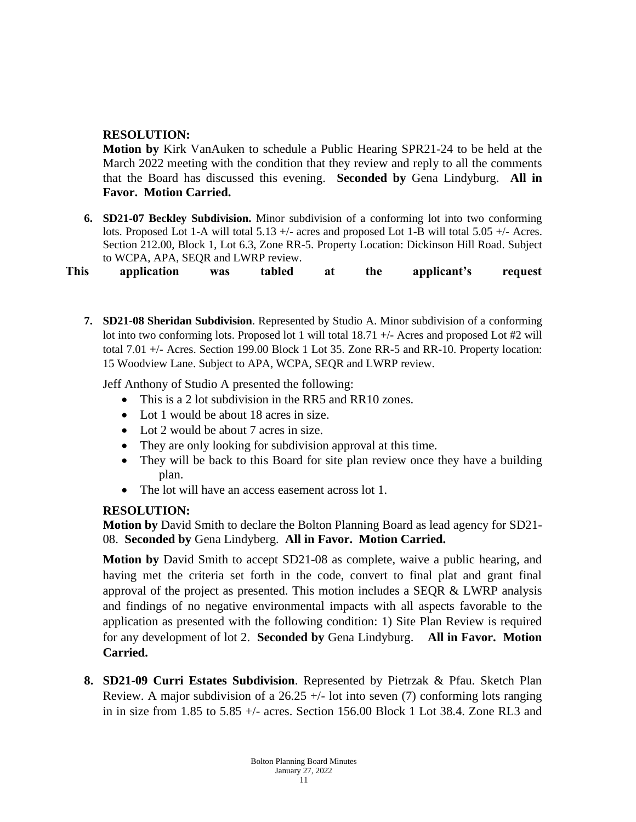# **RESOLUTION:**

**Motion by** Kirk VanAuken to schedule a Public Hearing SPR21-24 to be held at the March 2022 meeting with the condition that they review and reply to all the comments that the Board has discussed this evening. **Seconded by** Gena Lindyburg. **All in Favor. Motion Carried.** 

**6. SD21-07 Beckley Subdivision.** Minor subdivision of a conforming lot into two conforming lots. Proposed Lot 1-A will total 5.13 +/- acres and proposed Lot 1-B will total 5.05 +/- Acres. Section 212.00, Block 1, Lot 6.3, Zone RR-5. Property Location: Dickinson Hill Road. Subject to WCPA, APA, SEQR and LWRP review.

**This application was tabled at the applicant's request**

**7. SD21-08 Sheridan Subdivision**. Represented by Studio A. Minor subdivision of a conforming lot into two conforming lots. Proposed lot 1 will total 18.71 +/- Acres and proposed Lot #2 will total 7.01 +/- Acres. Section 199.00 Block 1 Lot 35. Zone RR-5 and RR-10. Property location: 15 Woodview Lane. Subject to APA, WCPA, SEQR and LWRP review.

Jeff Anthony of Studio A presented the following:

- This is a 2 lot subdivision in the RR5 and RR10 zones.
- Lot 1 would be about 18 acres in size.
- Lot 2 would be about 7 acres in size.
- They are only looking for subdivision approval at this time.
- They will be back to this Board for site plan review once they have a building plan.
- The lot will have an access easement across lot 1.

## **RESOLUTION:**

**Motion by** David Smith to declare the Bolton Planning Board as lead agency for SD21- 08. **Seconded by** Gena Lindyberg. **All in Favor. Motion Carried.** 

**Motion by** David Smith to accept SD21-08 as complete, waive a public hearing, and having met the criteria set forth in the code, convert to final plat and grant final approval of the project as presented. This motion includes a SEQR & LWRP analysis and findings of no negative environmental impacts with all aspects favorable to the application as presented with the following condition: 1) Site Plan Review is required for any development of lot 2. **Seconded by** Gena Lindyburg. **All in Favor. Motion Carried.**

**8. SD21-09 Curri Estates Subdivision**. Represented by Pietrzak & Pfau. Sketch Plan Review. A major subdivision of a  $26.25 +/-$  lot into seven (7) conforming lots ranging in in size from 1.85 to 5.85 +/- acres. Section 156.00 Block 1 Lot 38.4. Zone RL3 and